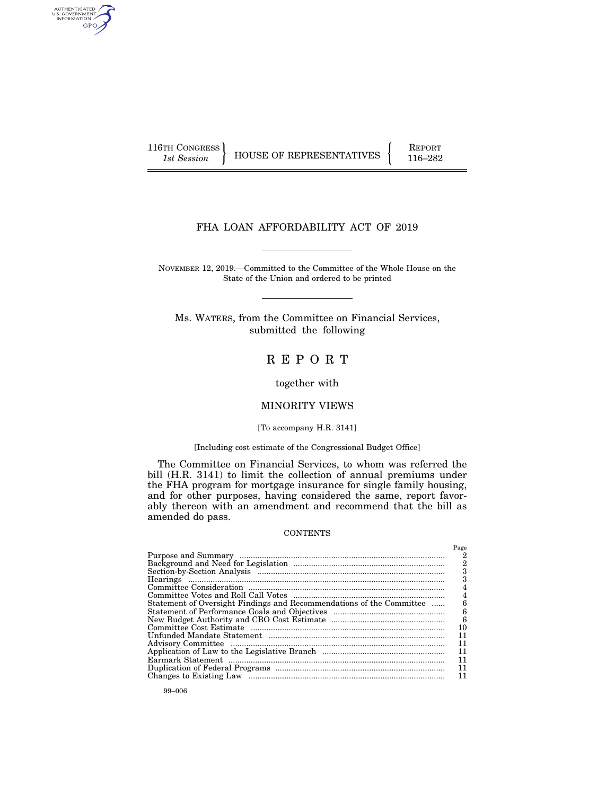AUTHENTICATED<br>U.S. GOVERNMENT<br>INFORMATION GPO

116TH CONGRESS HOUSE OF REPRESENTATIVES FEPORT 116–282

# FHA LOAN AFFORDABILITY ACT OF 2019

NOVEMBER 12, 2019.—Committed to the Committee of the Whole House on the State of the Union and ordered to be printed

Ms. WATERS, from the Committee on Financial Services, submitted the following

# R E P O R T

together with

# MINORITY VIEWS

#### [To accompany H.R. 3141]

# [Including cost estimate of the Congressional Budget Office]

The Committee on Financial Services, to whom was referred the bill (H.R. 3141) to limit the collection of annual premiums under the FHA program for mortgage insurance for single family housing, and for other purposes, having considered the same, report favorably thereon with an amendment and recommend that the bill as amended do pass.

### **CONTENTS**

|                                                                      | Page |
|----------------------------------------------------------------------|------|
|                                                                      |      |
|                                                                      | 2    |
|                                                                      |      |
|                                                                      |      |
|                                                                      |      |
|                                                                      | 4    |
| Statement of Oversight Findings and Recommendations of the Committee |      |
|                                                                      | 6    |
|                                                                      | 6    |
|                                                                      | 10   |
|                                                                      | 11   |
|                                                                      | 11   |
|                                                                      | 11   |
|                                                                      | 11   |
|                                                                      | 11   |
|                                                                      | 11   |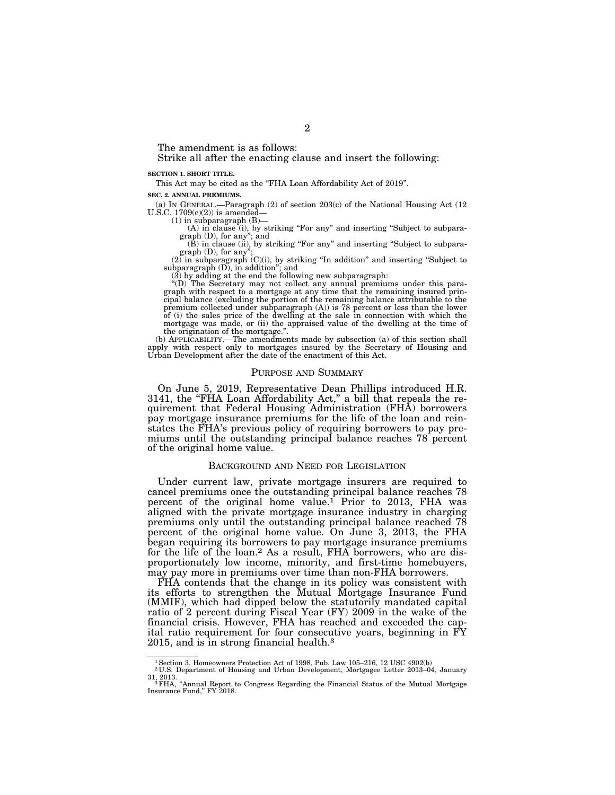The amendment is as follows:

Strike all after the enacting clause and insert the following:

#### **SECTION 1. SHORT TITLE.**

This Act may be cited as the "FHA Loan Affordability Act of 2019".

**SEC. 2. ANNUAL PREMIUMS.** 

(a) IN GENERAL.—Paragraph (2) of section 203(c) of the National Housing Act (12 U.S.C.  $1709(c)(2)$  is amended—

 $(1)$  in subparagraph  $(B)$ -

(A) in clause (i), by striking "For any" and inserting "Subject to subparagraph (D), for any"; and<br>(B) in clause (ii), by striking "For any" and inserting "Subject to subpara-

graph (D), for any

 $(2)$  in subparagraph  $(C)(i)$ , by striking "In addition" and inserting "Subject to subparagraph (D), in addition''; and

 $(3)$  by adding at the end the following new subparagraph:

''(D) The Secretary may not collect any annual premiums under this para-graph with respect to a mortgage at any time that the remaining insured principal balance (excluding the portion of the remaining balance attributable to the premium collected under subparagraph (A)) is 78 percent or less than the lower of (i) the sales price of the dwelling at the sale in connection with which the mortgage was made, or (ii) the appraised value of the dwelling at the time of the origination of the mortgage.''.

(b) APPLICABILITY.—The amendments made by subsection (a) of this section shall apply with respect only to mortgages insured by the Secretary of Housing and Urban Development after the date of the enactment of this Act.

#### PURPOSE AND SUMMARY

On June 5, 2019, Representative Dean Phillips introduced H.R. 3141, the "FHA Loan Affordability Act," a bill that repeals the requirement that Federal Housing Administration (FHA) borrowers pay mortgage insurance premiums for the life of the loan and reinstates the FHA's previous policy of requiring borrowers to pay premiums until the outstanding principal balance reaches 78 percent of the original home value.

#### BACKGROUND AND NEED FOR LEGISLATION

Under current law, private mortgage insurers are required to cancel premiums once the outstanding principal balance reaches 78 percent of the original home value.<sup>1</sup> Prior to 2013, FHA was aligned with the private mortgage insurance industry in charging premiums only until the outstanding principal balance reached 78 percent of the original home value. On June 3, 2013, the FHA began requiring its borrowers to pay mortgage insurance premiums for the life of the loan.<sup>2</sup> As a result, FHA borrowers, who are disproportionately low income, minority, and first-time homebuyers, may pay more in premiums over time than non-FHA borrowers.

FHA contends that the change in its policy was consistent with its efforts to strengthen the Mutual Mortgage Insurance Fund (MMIF), which had dipped below the statutorily mandated capital ratio of 2 percent during Fiscal Year (FY) 2009 in the wake of the financial crisis. However, FHA has reached and exceeded the capital ratio requirement for four consecutive years, beginning in FY 2015, and is in strong financial health.3

<sup>1</sup>Section 3, Homeowners Protection Act of 1998, Pub. Law 105–216, 12 USC 4902(b) 2 U.S. Department of Housing and Urban Development, Mortgagee Letter 2013–04, January

<sup>31, 2013. 3</sup>FHA, ''Annual Report to Congress Regarding the Financial Status of the Mutual Mortgage Insurance Fund,'' FY 2018.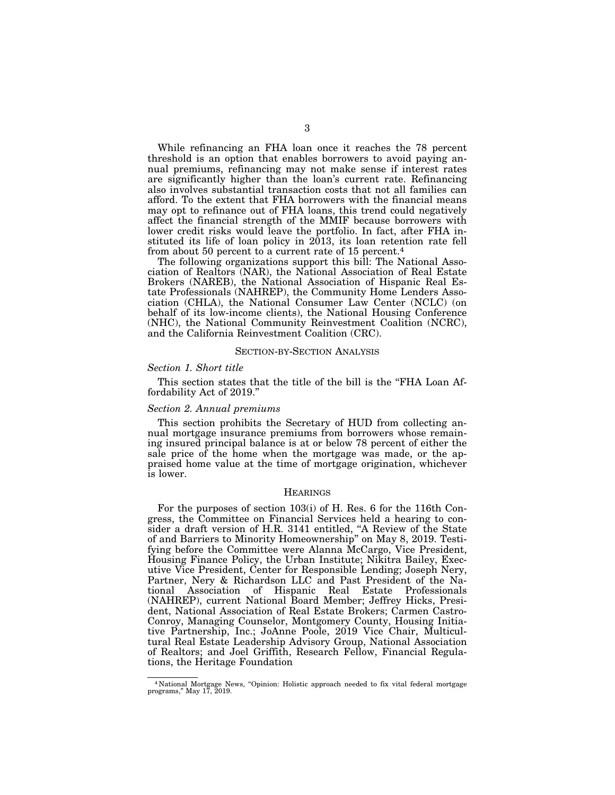While refinancing an FHA loan once it reaches the 78 percent threshold is an option that enables borrowers to avoid paying annual premiums, refinancing may not make sense if interest rates are significantly higher than the loan's current rate. Refinancing also involves substantial transaction costs that not all families can afford. To the extent that FHA borrowers with the financial means may opt to refinance out of FHA loans, this trend could negatively affect the financial strength of the MMIF because borrowers with lower credit risks would leave the portfolio. In fact, after FHA instituted its life of loan policy in 2013, its loan retention rate fell from about 50 percent to a current rate of 15 percent.4

The following organizations support this bill: The National Association of Realtors (NAR), the National Association of Real Estate Brokers (NAREB), the National Association of Hispanic Real Estate Professionals (NAHREP), the Community Home Lenders Association (CHLA), the National Consumer Law Center (NCLC) (on behalf of its low-income clients), the National Housing Conference (NHC), the National Community Reinvestment Coalition (NCRC), and the California Reinvestment Coalition (CRC).

#### SECTION-BY-SECTION ANALYSIS

#### *Section 1. Short title*

This section states that the title of the bill is the "FHA Loan Affordability Act of 2019.''

### *Section 2. Annual premiums*

This section prohibits the Secretary of HUD from collecting annual mortgage insurance premiums from borrowers whose remaining insured principal balance is at or below 78 percent of either the sale price of the home when the mortgage was made, or the appraised home value at the time of mortgage origination, whichever is lower.

#### **HEARINGS**

For the purposes of section 103(i) of H. Res. 6 for the 116th Congress, the Committee on Financial Services held a hearing to consider a draft version of H.R. 3141 entitled, ''A Review of the State of and Barriers to Minority Homeownership'' on May 8, 2019. Testifying before the Committee were Alanna McCargo, Vice President, Housing Finance Policy, the Urban Institute; Nikitra Bailey, Executive Vice President, Center for Responsible Lending; Joseph Nery, Partner, Nery & Richardson LLC and Past President of the National Association of Hispanic Real Estate Professionals (NAHREP), current National Board Member; Jeffrey Hicks, President, National Association of Real Estate Brokers; Carmen Castro-Conroy, Managing Counselor, Montgomery County, Housing Initiative Partnership, Inc.; JoAnne Poole, 2019 Vice Chair, Multicultural Real Estate Leadership Advisory Group, National Association of Realtors; and Joel Griffith, Research Fellow, Financial Regulations, the Heritage Foundation

<sup>4</sup> National Mortgage News, ''Opinion: Holistic approach needed to fix vital federal mortgage programs,'' May 17, 2019.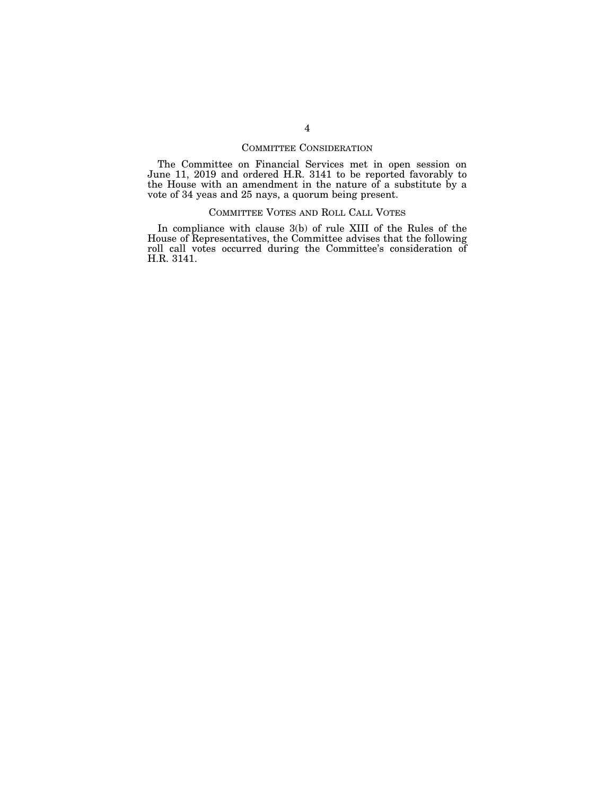# COMMITTEE CONSIDERATION

The Committee on Financial Services met in open session on June 11, 2019 and ordered H.R. 3141 to be reported favorably to the House with an amendment in the nature of a substitute by a vote of 34 yeas and 25 nays, a quorum being present.

# COMMITTEE VOTES AND ROLL CALL VOTES

In compliance with clause 3(b) of rule XIII of the Rules of the House of Representatives, the Committee advises that the following roll call votes occurred during the Committee's consideration of H.R. 3141.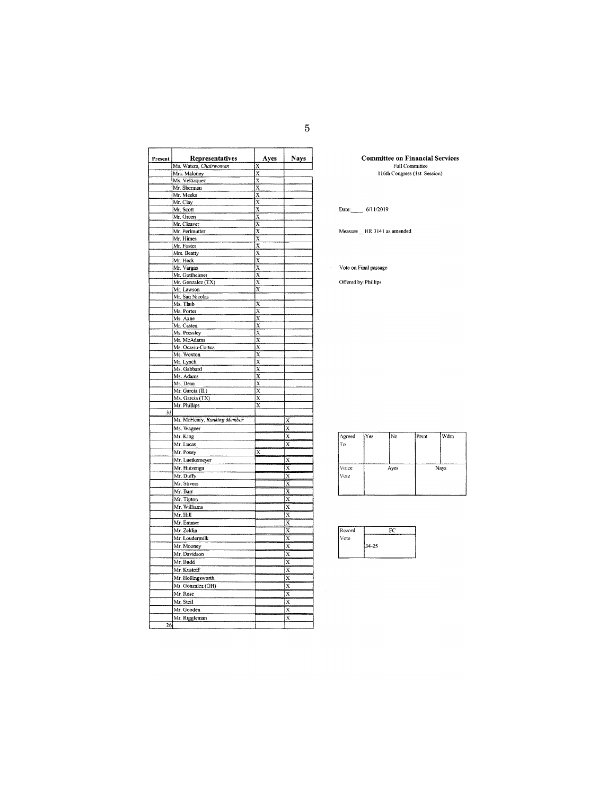| Present | Representatives             | Ayes                    | <b>Nays</b>             |
|---------|-----------------------------|-------------------------|-------------------------|
|         | Ms. Waters, Chairwoman      | X                       |                         |
|         | Mrs. Maloney                | $\overline{x}$          |                         |
|         | Ms. Velázquez               | X                       |                         |
|         | Mr. Sherman                 | $\overline{\mathbf{x}}$ |                         |
|         | Mr. Meeks                   | X                       |                         |
|         | Mr. Clay                    | $\overline{\mathbf{x}}$ |                         |
|         | Mr. Scott                   | $\overline{\mathbf{x}}$ |                         |
|         | Mr. Green                   | X                       |                         |
|         | Mr. Cleaver                 | X                       |                         |
|         | Mr. Perlmutter              | $\overline{\mathbf{x}}$ |                         |
|         | Mr. Himes                   | $\overline{x}$          |                         |
|         | Mr. Foster                  | $\overline{\mathbf{x}}$ |                         |
|         | Mrs. Beatty                 | $\overline{x}$          |                         |
|         | Mr. Heck<br>Mr. Vargas      | X<br>$\overline{x}$     |                         |
|         | Mr. Gottheimer              | X                       |                         |
|         | Mr. Gonzalez (TX)           | $\overline{\mathbf{x}}$ |                         |
|         | Mr. Lawson                  | x                       |                         |
|         | Mr. San Nicolas             |                         |                         |
|         | Ms. Tlaib                   | X                       |                         |
|         | Ms. Porter                  | $\overline{\mathbf{x}}$ |                         |
|         | Ms. Axne                    | X                       |                         |
|         | Mr. Casten                  | $\overline{x}$          |                         |
|         | Ms. Pressley                | $\overline{\mathbf{x}}$ |                         |
|         | Mr. McAdams                 | $\overline{x}$          |                         |
|         | Ms. Ocasio-Cortez           | X                       |                         |
|         | Ms. Wexton                  | $\overline{\mathbf{x}}$ |                         |
|         | Mr. Lynch                   | $\overline{\mathbf{x}}$ |                         |
|         | Ms. Gabbard                 | $\overline{\mathbf{x}}$ |                         |
|         | Ms. Adams                   | $\overline{x}$          |                         |
|         | Ms. Dean                    | $\overline{x}$          |                         |
|         | Mr. Garcia (IL)             | $\overline{\mathbf{x}}$ |                         |
|         | Ms. Garcia (TX)             | $\overline{\mathbf{x}}$ |                         |
|         | Mr. Phillips                | X                       |                         |
| 33      | Mr. McHenry, Ranking Member |                         |                         |
|         |                             |                         | X                       |
|         | Ms. Wagner                  |                         | X                       |
|         | Mr. King                    |                         | X                       |
|         | Mr. Lucas                   |                         | $\overline{\mathbf{x}}$ |
|         | Mr. Posey                   | $\overline{\mathbf{x}}$ |                         |
|         | Mr. Luetkemeyer             |                         | X                       |
|         | Mr. Huizenga                |                         | $\overline{\mathbf{x}}$ |
|         | Mr. Duffy                   |                         | $\overline{\mathbf{x}}$ |
|         | Mr. Stivers                 |                         | Х                       |
|         | Mr. Barr                    |                         | X                       |
|         | Mr. Tipton                  |                         | X                       |
|         | Mr. Williams                |                         | X                       |
|         | Mr. Hill                    |                         | X                       |
|         | Mr. Emmer                   |                         | X                       |
|         | Mr. Zeldin                  |                         | X                       |
|         | Mr. Loudermilk              |                         | X                       |
|         | Mr. Mooney                  |                         | X                       |
|         | Mr. Davidson                |                         | ķ                       |
|         | Mr. Budd                    |                         | $\overline{\mathbf{x}}$ |
|         | Mr. Kustoff                 |                         | X                       |
|         |                             |                         |                         |
|         | Mr. Hollingsworth           |                         | X                       |
|         | Mr. Gonzalez (OH)           |                         | X                       |
|         | Mr. Rose                    |                         | $\overline{\mathbf{x}}$ |
|         | Mr. Steil                   |                         | x                       |
|         | Mr. Gooden                  |                         | $\overline{\mathbf{x}}$ |
|         | Mr. Riggleman               |                         | X                       |
| 26      |                             |                         |                         |

**Committee on Financial Services**<br>Full Committee<br>116th Congress (1st Session)

Date: 6/11/2019

Measure \_ HR 3141 as amended

Vote on Final passage

Offered by: Phillips

| Agreed<br>tro | Yes | IN0  | Prsnt | Wdm  |
|---------------|-----|------|-------|------|
| Voice<br>Vote |     | Ayes |       | Nays |

 $\overline{a}$ 

| Record |       |
|--------|-------|
| Vote   |       |
|        | 34-25 |
|        |       |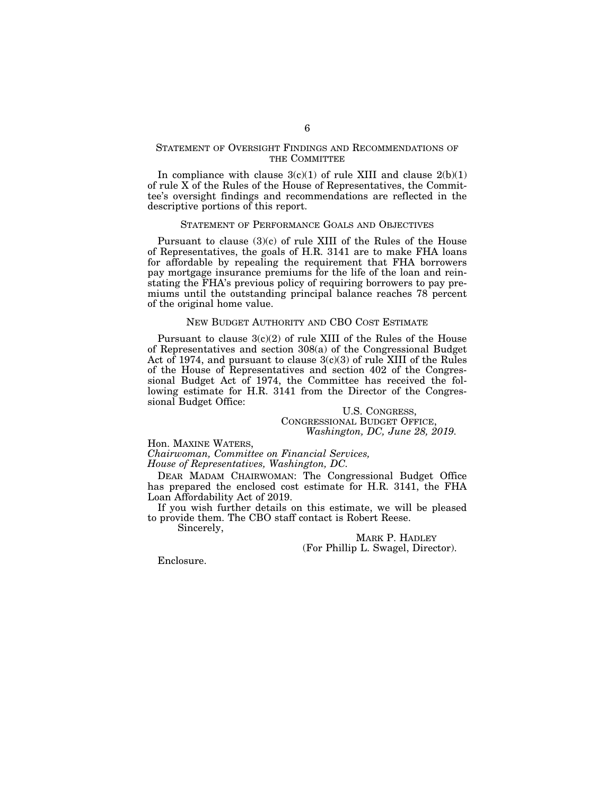# STATEMENT OF OVERSIGHT FINDINGS AND RECOMMENDATIONS OF THE COMMITTEE

In compliance with clause  $3(c)(1)$  of rule XIII and clause  $2(b)(1)$ of rule X of the Rules of the House of Representatives, the Committee's oversight findings and recommendations are reflected in the descriptive portions of this report.

#### STATEMENT OF PERFORMANCE GOALS AND OBJECTIVES

Pursuant to clause (3)(c) of rule XIII of the Rules of the House of Representatives, the goals of H.R. 3141 are to make FHA loans for affordable by repealing the requirement that FHA borrowers pay mortgage insurance premiums for the life of the loan and reinstating the FHA's previous policy of requiring borrowers to pay premiums until the outstanding principal balance reaches 78 percent of the original home value.

#### NEW BUDGET AUTHORITY AND CBO COST ESTIMATE

Pursuant to clause  $3(c)(2)$  of rule XIII of the Rules of the House of Representatives and section 308(a) of the Congressional Budget Act of 1974, and pursuant to clause 3(c)(3) of rule XIII of the Rules of the House of Representatives and section 402 of the Congressional Budget Act of 1974, the Committee has received the following estimate for H.R. 3141 from the Director of the Congressional Budget Office:

U.S. CONGRESS,<br>CONGRESSIONAL BUDGET OFFICE, Washington, DC, June 28, 2019.

Hon. MAXINE WATERS,

*Chairwoman, Committee on Financial Services, House of Representatives, Washington, DC.* 

DEAR MADAM CHAIRWOMAN: The Congressional Budget Office has prepared the enclosed cost estimate for H.R. 3141, the FHA Loan Affordability Act of 2019.

If you wish further details on this estimate, we will be pleased to provide them. The CBO staff contact is Robert Reese. Sincerely,

MARK P. HADLEY (For Phillip L. Swagel, Director).

Enclosure.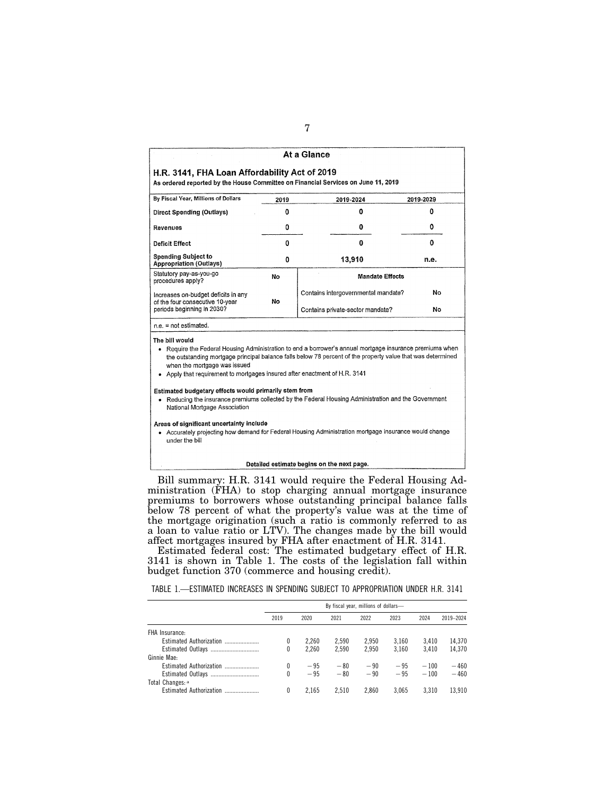|                                                                                                                                                                                                                           |          | At a Glance                                                                                                                                                                                                                                                                                                                   |           |  |  |  |
|---------------------------------------------------------------------------------------------------------------------------------------------------------------------------------------------------------------------------|----------|-------------------------------------------------------------------------------------------------------------------------------------------------------------------------------------------------------------------------------------------------------------------------------------------------------------------------------|-----------|--|--|--|
| H.R. 3141, FHA Loan Affordability Act of 2019<br>As ordered reported by the House Committee on Financial Services on June 11, 2019                                                                                        |          |                                                                                                                                                                                                                                                                                                                               |           |  |  |  |
| By Fiscal Year, Millions of Dollars                                                                                                                                                                                       | 2019     | 2019-2024                                                                                                                                                                                                                                                                                                                     | 2019-2029 |  |  |  |
| <b>Direct Spending (Outlays)</b>                                                                                                                                                                                          | $\Omega$ | ٥                                                                                                                                                                                                                                                                                                                             | 0         |  |  |  |
| Revenues                                                                                                                                                                                                                  | 0        | 0                                                                                                                                                                                                                                                                                                                             | 0         |  |  |  |
| Deficit Effect                                                                                                                                                                                                            | 0        | n                                                                                                                                                                                                                                                                                                                             | n         |  |  |  |
| <b>Spending Subject to</b><br><b>Appropriation (Outlays)</b>                                                                                                                                                              | 0        | 13,910                                                                                                                                                                                                                                                                                                                        | n.e.      |  |  |  |
| Statutory pay-as-you-go<br>procedures apply?                                                                                                                                                                              | No       | <b>Mandate Effects</b>                                                                                                                                                                                                                                                                                                        |           |  |  |  |
| Increases on-budget deficits in any                                                                                                                                                                                       |          | Contains intergovernmental mandate?                                                                                                                                                                                                                                                                                           | No        |  |  |  |
| of the four consecutive 10-year<br>periods beginning in 2030?                                                                                                                                                             | No       | Contains private-sector mandate?                                                                                                                                                                                                                                                                                              | No        |  |  |  |
| $ne = not estimated$ .                                                                                                                                                                                                    |          |                                                                                                                                                                                                                                                                                                                               |           |  |  |  |
| The bill would<br>when the mortgage was issued<br>Apply that requirement to mortgages insured after enactment of H.R. 3141<br>Estimated budgetary effects would primarily stem from<br>٠<br>National Mortgage Association |          | . Require the Federal Housing Administration to end a borrower's annual mortgage insurance premiums when<br>the outstanding mortgage principal balance falls below 78 percent of the property value that was determined<br>Reducing the insurance premiums collected by the Federal Housing Administration and the Government |           |  |  |  |
| Areas of significant uncertainty include<br>under the bill                                                                                                                                                                |          | • Accurately projecting how demand for Federal Housing Administration mortgage insurance would change                                                                                                                                                                                                                         |           |  |  |  |
|                                                                                                                                                                                                                           |          | Detailed estimate begins on the next page.                                                                                                                                                                                                                                                                                    |           |  |  |  |

Bill summary: H.R. 3141 would require the Federal Housing Administration (FHA) to stop charging annual mortgage insurance premiums to borrowers whose outstanding principal balance falls below 78 percent of what the property's value was at the time of the mortgage origination (such a ratio is commonly referred to as a loan to value ratio or LTV). The changes made by the bill would affect mortgages insured by FHA after enactment of H.R. 3141.

Estimated federal cost: The estimated budgetary effect of H.R. 3141 is shown in Table 1. The costs of the legislation fall within budget function 370 (commerce and housing credit).

TABLE 1.—ESTIMATED INCREASES IN SPENDING SUBJECT TO APPROPRIATION UNDER H.R. 3141

|                         | By fiscal year, millions of dollars- |       |       |       |       |        |           |
|-------------------------|--------------------------------------|-------|-------|-------|-------|--------|-----------|
|                         | 2019                                 | 2020  | 2021  | 2022  | 2023  | 2024   | 2019-2024 |
| FHA Insurance:          |                                      |       |       |       |       |        |           |
| Estimated Authorization | 0                                    | 2.260 | 2.590 | 2.950 | 3.160 | 3.410  | 14.370    |
|                         | 0                                    | 2.260 | 2.590 | 2.950 | 3.160 | 3.410  | 14.370    |
| Ginnie Mae:             |                                      |       |       |       |       |        |           |
| Estimated Authorization | 0                                    | $-95$ | $-80$ | $-90$ | $-95$ | $-100$ | $-460$    |
| Estimated Outlays       | N                                    | $-95$ | $-80$ | $-90$ | $-95$ | $-100$ | $-460$    |
| Total Changes: a        |                                      |       |       |       |       |        |           |
| Estimated Authorization | 0                                    | 2.165 | 2.510 | 2.860 | 3.065 | 3.310  | 13.910    |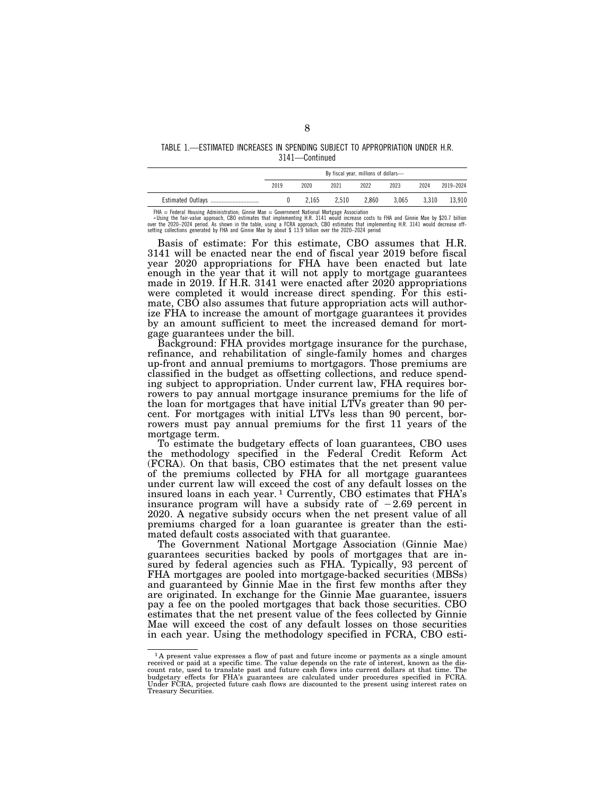#### TABLE 1.—ESTIMATED INCREASES IN SPENDING SUBJECT TO APPROPRIATION UNDER H.R. 3141—Continued

|                   | By fiscal year, millions of dollars- |       |       |       |       |       |           |
|-------------------|--------------------------------------|-------|-------|-------|-------|-------|-----------|
|                   | 2019                                 | 2020  | 2021  | 2022  | 2023  | 2024  | 2019-2024 |
| Estimated Outlays |                                      | 2.165 | 2.510 | 2.860 | 3.065 | 3.310 | 13.910    |

FHA = Federal Housing Administration; Ginnie Mae = Government National Mortgage Association

Using the fair-value approach, cB0 estimates that implementing H.R. 3141 would increase costs to FHA and Ginnie Mae by \$20.7 billion<br>over the 2020–2024 period. As shown in the table, using a FCRA approach, CB0 estimates th

Basis of estimate: For this estimate, CBO assumes that H.R. 3141 will be enacted near the end of fiscal year 2019 before fiscal year 2020 appropriations for FHA have been enacted but late enough in the year that it will not apply to mortgage guarantees made in 2019. If H.R. 3141 were enacted after 2020 appropriations were completed it would increase direct spending. For this estimate, CBO also assumes that future appropriation acts will authorize FHA to increase the amount of mortgage guarantees it provides by an amount sufficient to meet the increased demand for mortgage guarantees under the bill.

Background: FHA provides mortgage insurance for the purchase, refinance, and rehabilitation of single-family homes and charges up-front and annual premiums to mortgagors. Those premiums are classified in the budget as offsetting collections, and reduce spending subject to appropriation. Under current law, FHA requires borrowers to pay annual mortgage insurance premiums for the life of the loan for mortgages that have initial LTVs greater than 90 percent. For mortgages with initial LTVs less than 90 percent, borrowers must pay annual premiums for the first 11 years of the mortgage term.

To estimate the budgetary effects of loan guarantees, CBO uses the methodology specified in the Federal Credit Reform Act (FCRA). On that basis, CBO estimates that the net present value of the premiums collected by FHA for all mortgage guarantees under current law will exceed the cost of any default losses on the insured loans in each year. 1 Currently, CBO estimates that FHA's insurance program will have a subsidy rate of  $-2.69$  percent in 2020. A negative subsidy occurs when the net present value of all premiums charged for a loan guarantee is greater than the estimated default costs associated with that guarantee.

The Government National Mortgage Association (Ginnie Mae) guarantees securities backed by pools of mortgages that are insured by federal agencies such as FHA. Typically, 93 percent of FHA mortgages are pooled into mortgage-backed securities (MBSs) and guaranteed by Ginnie Mae in the first few months after they are originated. In exchange for the Ginnie Mae guarantee, issuers pay a fee on the pooled mortgages that back those securities. CBO estimates that the net present value of the fees collected by Ginnie Mae will exceed the cost of any default losses on those securities in each year. Using the methodology specified in FCRA, CBO esti-

 $1$  A present value expresses a flow of past and future income or payments as a single amount received or paid at a specific time. The value depends on the rate of interest, known as the discount rate, used to translate p budgetary effects for FHA's guarantees are calculated under procedures specified in FCRA. Under FCRA, projected future cash flows are discounted to the present using interest rates on Treasury Securities.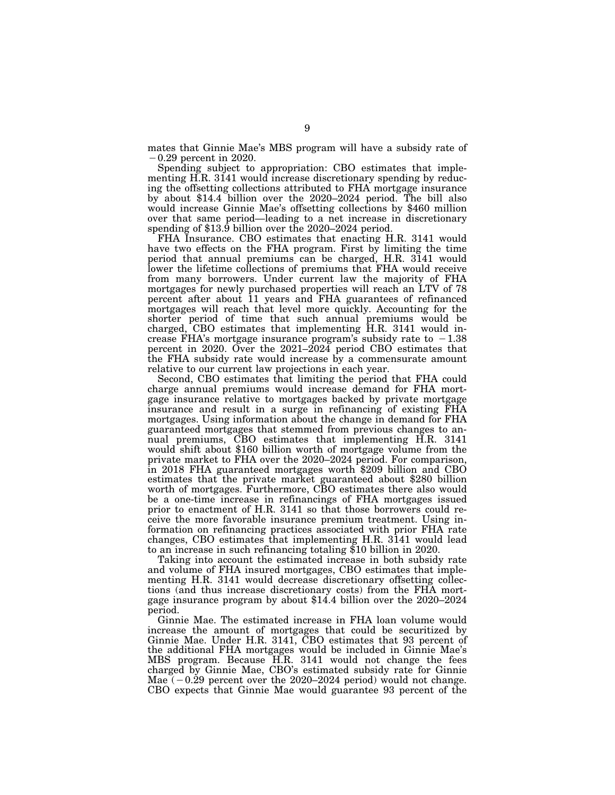mates that Ginnie Mae's MBS program will have a subsidy rate of ¥0.29 percent in 2020.

Spending subject to appropriation: CBO estimates that implementing H.R. 3141 would increase discretionary spending by reducing the offsetting collections attributed to FHA mortgage insurance by about \$14.4 billion over the 2020–2024 period. The bill also would increase Ginnie Mae's offsetting collections by \$460 million over that same period—leading to a net increase in discretionary spending of \$13.9 billion over the 2020–2024 period.

FHA Insurance. CBO estimates that enacting H.R. 3141 would have two effects on the FHA program. First by limiting the time period that annual premiums can be charged, H.R. 3141 would lower the lifetime collections of premiums that FHA would receive from many borrowers. Under current law the majority of FHA mortgages for newly purchased properties will reach an LTV of 78 percent after about 11 years and FHA guarantees of refinanced mortgages will reach that level more quickly. Accounting for the shorter period of time that such annual premiums would be charged, CBO estimates that implementing H.R. 3141 would increase FHA's mortgage insurance program's subsidy rate to  $-1.38$ percent in 2020. Over the 2021–2024 period CBO estimates that the FHA subsidy rate would increase by a commensurate amount relative to our current law projections in each year.

Second, CBO estimates that limiting the period that FHA could charge annual premiums would increase demand for FHA mortgage insurance relative to mortgages backed by private mortgage insurance and result in a surge in refinancing of existing FHA mortgages. Using information about the change in demand for FHA guaranteed mortgages that stemmed from previous changes to annual premiums, CBO estimates that implementing H.R. 3141 would shift about \$160 billion worth of mortgage volume from the private market to FHA over the 2020–2024 period. For comparison, in 2018 FHA guaranteed mortgages worth \$209 billion and CBO estimates that the private market guaranteed about \$280 billion worth of mortgages. Furthermore, CBO estimates there also would be a one-time increase in refinancings of FHA mortgages issued prior to enactment of H.R. 3141 so that those borrowers could receive the more favorable insurance premium treatment. Using information on refinancing practices associated with prior FHA rate changes, CBO estimates that implementing H.R. 3141 would lead to an increase in such refinancing totaling \$10 billion in 2020.

Taking into account the estimated increase in both subsidy rate and volume of FHA insured mortgages, CBO estimates that implementing H.R. 3141 would decrease discretionary offsetting collections (and thus increase discretionary costs) from the FHA mortgage insurance program by about \$14.4 billion over the 2020–2024 period.

Ginnie Mae. The estimated increase in FHA loan volume would increase the amount of mortgages that could be securitized by Ginnie Mae. Under H.R. 3141, CBO estimates that 93 percent of the additional FHA mortgages would be included in Ginnie Mae's MBS program. Because H.R. 3141 would not change the fees charged by Ginnie Mae, CBO's estimated subsidy rate for Ginnie Mae  $(-0.29$  percent over the 2020–2024 period) would not change. CBO expects that Ginnie Mae would guarantee 93 percent of the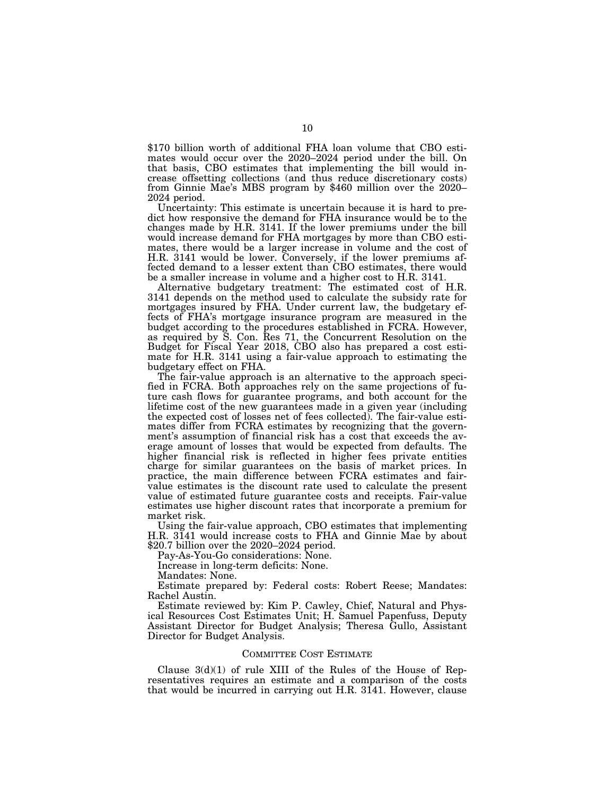\$170 billion worth of additional FHA loan volume that CBO estimates would occur over the 2020–2024 period under the bill. On that basis, CBO estimates that implementing the bill would increase offsetting collections (and thus reduce discretionary costs) from Ginnie Mae's MBS program by \$460 million over the 2020– 2024 period.

Uncertainty: This estimate is uncertain because it is hard to predict how responsive the demand for FHA insurance would be to the changes made by H.R. 3141. If the lower premiums under the bill would increase demand for FHA mortgages by more than CBO estimates, there would be a larger increase in volume and the cost of H.R. 3141 would be lower. Conversely, if the lower premiums affected demand to a lesser extent than CBO estimates, there would be a smaller increase in volume and a higher cost to H.R. 3141.

Alternative budgetary treatment: The estimated cost of H.R. 3141 depends on the method used to calculate the subsidy rate for mortgages insured by FHA. Under current law, the budgetary effects of FHA's mortgage insurance program are measured in the budget according to the procedures established in FCRA. However, as required by S. Con. Res 71, the Concurrent Resolution on the Budget for Fiscal Year 2018, CBO also has prepared a cost estimate for H.R. 3141 using a fair-value approach to estimating the budgetary effect on FHA.

The fair-value approach is an alternative to the approach specified in FCRA. Both approaches rely on the same projections of future cash flows for guarantee programs, and both account for the lifetime cost of the new guarantees made in a given year (including the expected cost of losses net of fees collected). The fair-value estimates differ from FCRA estimates by recognizing that the government's assumption of financial risk has a cost that exceeds the average amount of losses that would be expected from defaults. The higher financial risk is reflected in higher fees private entities charge for similar guarantees on the basis of market prices. In practice, the main difference between FCRA estimates and fairvalue estimates is the discount rate used to calculate the present value of estimated future guarantee costs and receipts. Fair-value estimates use higher discount rates that incorporate a premium for market risk.

Using the fair-value approach, CBO estimates that implementing H.R. 3141 would increase costs to FHA and Ginnie Mae by about \$20.7 billion over the 2020–2024 period.

Pay-As-You-Go considerations: None.

Increase in long-term deficits: None.

Mandates: None.

Estimate prepared by: Federal costs: Robert Reese; Mandates: Rachel Austin.

Estimate reviewed by: Kim P. Cawley, Chief, Natural and Physical Resources Cost Estimates Unit; H. Samuel Papenfuss, Deputy Assistant Director for Budget Analysis; Theresa Gullo, Assistant Director for Budget Analysis.

#### COMMITTEE COST ESTIMATE

Clause  $3(d)(1)$  of rule XIII of the Rules of the House of Representatives requires an estimate and a comparison of the costs that would be incurred in carrying out H.R. 3141. However, clause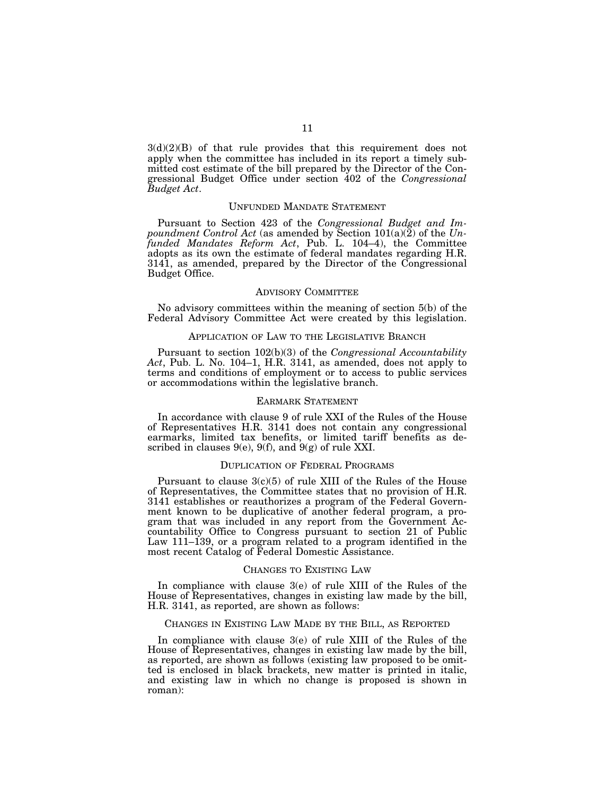$3(d)(2)(B)$  of that rule provides that this requirement does not apply when the committee has included in its report a timely submitted cost estimate of the bill prepared by the Director of the Congressional Budget Office under section 402 of the *Congressional Budget Act*.

### UNFUNDED MANDATE STATEMENT

Pursuant to Section 423 of the *Congressional Budget and Impoundment Control Act* (as amended by Section 101(a)(2) of the *Unfunded Mandates Reform Act*, Pub. L. 104–4), the Committee adopts as its own the estimate of federal mandates regarding H.R. 3141, as amended, prepared by the Director of the Congressional Budget Office.

## ADVISORY COMMITTEE

No advisory committees within the meaning of section 5(b) of the Federal Advisory Committee Act were created by this legislation.

# APPLICATION OF LAW TO THE LEGISLATIVE BRANCH

Pursuant to section 102(b)(3) of the *Congressional Accountability Act*, Pub. L. No. 104–1, H.R. 3141, as amended, does not apply to terms and conditions of employment or to access to public services or accommodations within the legislative branch.

## EARMARK STATEMENT

In accordance with clause 9 of rule XXI of the Rules of the House of Representatives H.R. 3141 does not contain any congressional earmarks, limited tax benefits, or limited tariff benefits as described in clauses  $9(e)$ ,  $9(f)$ , and  $9(g)$  of rule XXI.

#### DUPLICATION OF FEDERAL PROGRAMS

Pursuant to clause  $3(c)(5)$  of rule XIII of the Rules of the House of Representatives, the Committee states that no provision of H.R. 3141 establishes or reauthorizes a program of the Federal Government known to be duplicative of another federal program, a program that was included in any report from the Government Accountability Office to Congress pursuant to section 21 of Public Law 111–139, or a program related to a program identified in the most recent Catalog of Federal Domestic Assistance.

#### CHANGES TO EXISTING LAW

In compliance with clause 3(e) of rule XIII of the Rules of the House of Representatives, changes in existing law made by the bill, H.R. 3141, as reported, are shown as follows:

# CHANGES IN EXISTING LAW MADE BY THE BILL, AS REPORTED

In compliance with clause 3(e) of rule XIII of the Rules of the House of Representatives, changes in existing law made by the bill, as reported, are shown as follows (existing law proposed to be omitted is enclosed in black brackets, new matter is printed in italic, and existing law in which no change is proposed is shown in roman):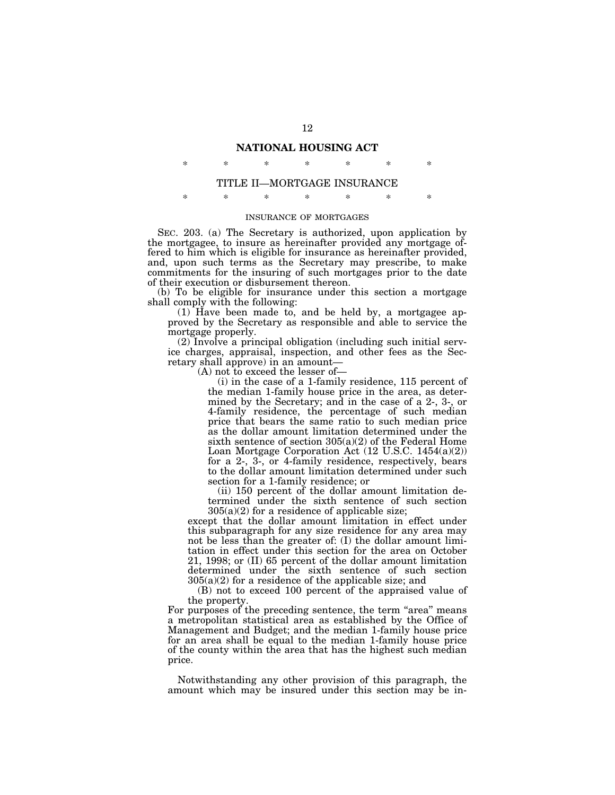# **NATIONAL HOUSING ACT**

\* \* \* \* \* \* \*

# TITLE II—MORTGAGE INSURANCE

\* \* \* \* \* \* \*

#### INSURANCE OF MORTGAGES

SEC. 203. (a) The Secretary is authorized, upon application by the mortgagee, to insure as hereinafter provided any mortgage offered to him which is eligible for insurance as hereinafter provided, and, upon such terms as the Secretary may prescribe, to make commitments for the insuring of such mortgages prior to the date of their execution or disbursement thereon.

(b) To be eligible for insurance under this section a mortgage shall comply with the following:

(1) Have been made to, and be held by, a mortgagee approved by the Secretary as responsible and able to service the mortgage properly.

(2) Involve a principal obligation (including such initial service charges, appraisal, inspection, and other fees as the Secretary shall approve) in an amount—

(A) not to exceed the lesser of—

(i) in the case of a 1-family residence, 115 percent of the median 1-family house price in the area, as determined by the Secretary; and in the case of a 2-, 3-, or 4-family residence, the percentage of such median price that bears the same ratio to such median price as the dollar amount limitation determined under the sixth sentence of section 305(a)(2) of the Federal Home Loan Mortgage Corporation Act (12 U.S.C. 1454(a)(2)) for a 2-, 3-, or 4-family residence, respectively, bears to the dollar amount limitation determined under such section for a 1-family residence; or

(ii) 150 percent of the dollar amount limitation determined under the sixth sentence of such section  $305(a)(2)$  for a residence of applicable size;

except that the dollar amount limitation in effect under this subparagraph for any size residence for any area may not be less than the greater of: (I) the dollar amount limitation in effect under this section for the area on October 21, 1998; or (II) 65 percent of the dollar amount limitation determined under the sixth sentence of such section  $305(a)(2)$  for a residence of the applicable size; and

(B) not to exceed 100 percent of the appraised value of the property.

For purposes of the preceding sentence, the term "area" means a metropolitan statistical area as established by the Office of Management and Budget; and the median 1-family house price for an area shall be equal to the median 1-family house price of the county within the area that has the highest such median price.

Notwithstanding any other provision of this paragraph, the amount which may be insured under this section may be in-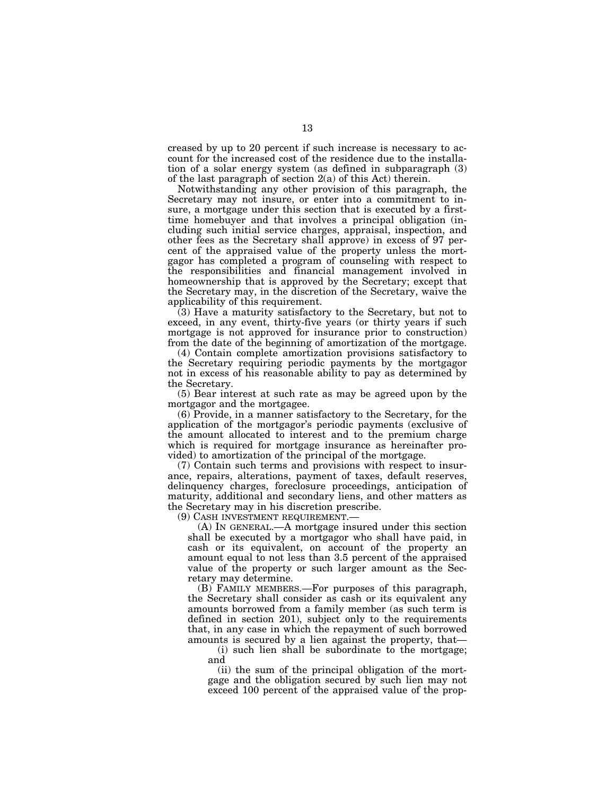creased by up to 20 percent if such increase is necessary to account for the increased cost of the residence due to the installation of a solar energy system (as defined in subparagraph (3) of the last paragraph of section 2(a) of this Act) therein.

Notwithstanding any other provision of this paragraph, the Secretary may not insure, or enter into a commitment to insure, a mortgage under this section that is executed by a firsttime homebuyer and that involves a principal obligation (including such initial service charges, appraisal, inspection, and other fees as the Secretary shall approve) in excess of 97 percent of the appraised value of the property unless the mortgagor has completed a program of counseling with respect to the responsibilities and financial management involved in homeownership that is approved by the Secretary; except that the Secretary may, in the discretion of the Secretary, waive the applicability of this requirement.

(3) Have a maturity satisfactory to the Secretary, but not to exceed, in any event, thirty-five years (or thirty years if such mortgage is not approved for insurance prior to construction) from the date of the beginning of amortization of the mortgage.

(4) Contain complete amortization provisions satisfactory to the Secretary requiring periodic payments by the mortgagor not in excess of his reasonable ability to pay as determined by the Secretary.

(5) Bear interest at such rate as may be agreed upon by the mortgagor and the mortgagee.

(6) Provide, in a manner satisfactory to the Secretary, for the application of the mortgagor's periodic payments (exclusive of the amount allocated to interest and to the premium charge which is required for mortgage insurance as hereinafter provided) to amortization of the principal of the mortgage.

(7) Contain such terms and provisions with respect to insurance, repairs, alterations, payment of taxes, default reserves, delinquency charges, foreclosure proceedings, anticipation of maturity, additional and secondary liens, and other matters as the Secretary may in his discretion prescribe.

(9) CASH INVESTMENT REQUIREMENT.—

(A) IN GENERAL.—A mortgage insured under this section shall be executed by a mortgagor who shall have paid, in cash or its equivalent, on account of the property an amount equal to not less than 3.5 percent of the appraised value of the property or such larger amount as the Secretary may determine.

(B) FAMILY MEMBERS.—For purposes of this paragraph, the Secretary shall consider as cash or its equivalent any amounts borrowed from a family member (as such term is defined in section 201), subject only to the requirements that, in any case in which the repayment of such borrowed amounts is secured by a lien against the property, that—

(i) such lien shall be subordinate to the mortgage; and

(ii) the sum of the principal obligation of the mortgage and the obligation secured by such lien may not exceed 100 percent of the appraised value of the prop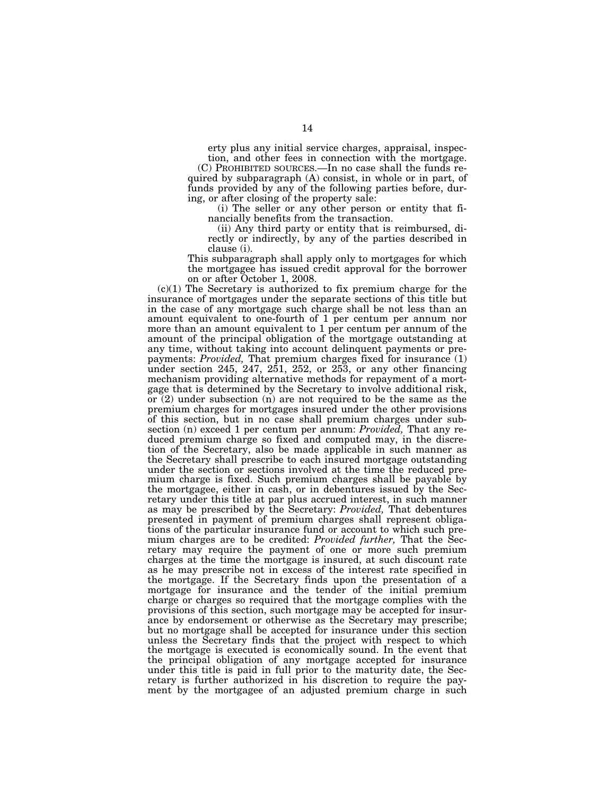erty plus any initial service charges, appraisal, inspection, and other fees in connection with the mortgage.

(C) PROHIBITED SOURCES.—In no case shall the funds required by subparagraph (A) consist, in whole or in part, of funds provided by any of the following parties before, during, or after closing of the property sale:

(i) The seller or any other person or entity that financially benefits from the transaction.

(ii) Any third party or entity that is reimbursed, directly or indirectly, by any of the parties described in clause (i).

This subparagraph shall apply only to mortgages for which the mortgagee has issued credit approval for the borrower on or after October 1, 2008.

 $(c)(1)$  The Secretary is authorized to fix premium charge for the insurance of mortgages under the separate sections of this title but in the case of any mortgage such charge shall be not less than an amount equivalent to one-fourth of 1 per centum per annum nor more than an amount equivalent to 1 per centum per annum of the amount of the principal obligation of the mortgage outstanding at any time, without taking into account delinquent payments or prepayments: *Provided,* That premium charges fixed for insurance (1) under section  $245, 247, 251, 252,$  or  $253$ , or any other financing mechanism providing alternative methods for repayment of a mortgage that is determined by the Secretary to involve additional risk, or (2) under subsection (n) are not required to be the same as the premium charges for mortgages insured under the other provisions of this section, but in no case shall premium charges under subsection (n) exceed 1 per centum per annum: *Provided,* That any reduced premium charge so fixed and computed may, in the discretion of the Secretary, also be made applicable in such manner as the Secretary shall prescribe to each insured mortgage outstanding under the section or sections involved at the time the reduced premium charge is fixed. Such premium charges shall be payable by the mortgagee, either in cash, or in debentures issued by the Secretary under this title at par plus accrued interest, in such manner as may be prescribed by the Secretary: *Provided,* That debentures presented in payment of premium charges shall represent obligations of the particular insurance fund or account to which such premium charges are to be credited: *Provided further,* That the Secretary may require the payment of one or more such premium charges at the time the mortgage is insured, at such discount rate as he may prescribe not in excess of the interest rate specified in the mortgage. If the Secretary finds upon the presentation of a mortgage for insurance and the tender of the initial premium charge or charges so required that the mortgage complies with the provisions of this section, such mortgage may be accepted for insurance by endorsement or otherwise as the Secretary may prescribe; but no mortgage shall be accepted for insurance under this section unless the Secretary finds that the project with respect to which the mortgage is executed is economically sound. In the event that the principal obligation of any mortgage accepted for insurance under this title is paid in full prior to the maturity date, the Secretary is further authorized in his discretion to require the payment by the mortgagee of an adjusted premium charge in such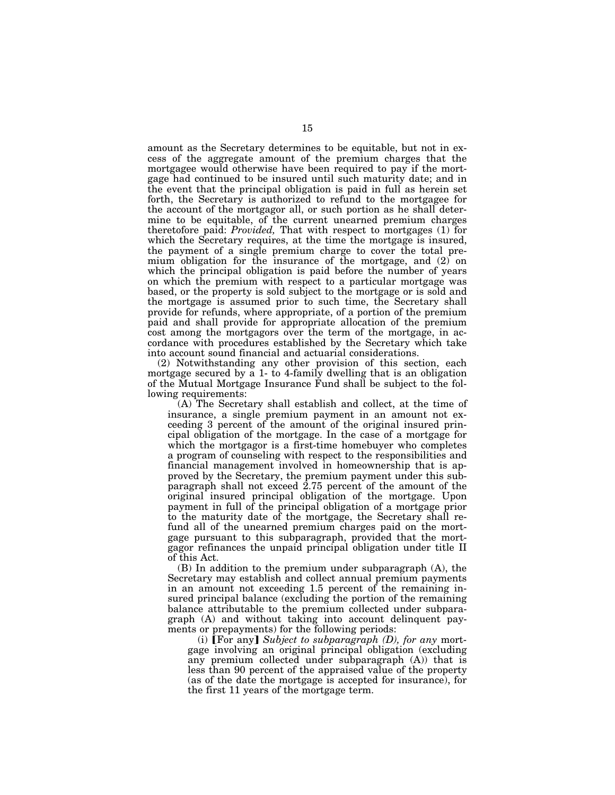amount as the Secretary determines to be equitable, but not in excess of the aggregate amount of the premium charges that the mortgagee would otherwise have been required to pay if the mortgage had continued to be insured until such maturity date; and in the event that the principal obligation is paid in full as herein set forth, the Secretary is authorized to refund to the mortgagee for the account of the mortgagor all, or such portion as he shall determine to be equitable, of the current unearned premium charges theretofore paid: *Provided,* That with respect to mortgages (1) for which the Secretary requires, at the time the mortgage is insured, the payment of a single premium charge to cover the total premium obligation for the insurance of the mortgage, and (2) on which the principal obligation is paid before the number of years on which the premium with respect to a particular mortgage was based, or the property is sold subject to the mortgage or is sold and the mortgage is assumed prior to such time, the Secretary shall provide for refunds, where appropriate, of a portion of the premium paid and shall provide for appropriate allocation of the premium cost among the mortgagors over the term of the mortgage, in accordance with procedures established by the Secretary which take into account sound financial and actuarial considerations.

(2) Notwithstanding any other provision of this section, each mortgage secured by a 1- to 4-family dwelling that is an obligation of the Mutual Mortgage Insurance Fund shall be subject to the following requirements:

(A) The Secretary shall establish and collect, at the time of insurance, a single premium payment in an amount not exceeding 3 percent of the amount of the original insured principal obligation of the mortgage. In the case of a mortgage for which the mortgagor is a first-time homebuyer who completes a program of counseling with respect to the responsibilities and financial management involved in homeownership that is approved by the Secretary, the premium payment under this subparagraph shall not exceed 2.75 percent of the amount of the original insured principal obligation of the mortgage. Upon payment in full of the principal obligation of a mortgage prior to the maturity date of the mortgage, the Secretary shall refund all of the unearned premium charges paid on the mortgage pursuant to this subparagraph, provided that the mortgagor refinances the unpaid principal obligation under title II of this Act.

(B) In addition to the premium under subparagraph (A), the Secretary may establish and collect annual premium payments in an amount not exceeding 1.5 percent of the remaining insured principal balance (excluding the portion of the remaining balance attributable to the premium collected under subparagraph (A) and without taking into account delinquent payments or prepayments) for the following periods:

(i) **[For any]** Subject to subparagraph (D), for any mortgage involving an original principal obligation (excluding any premium collected under subparagraph (A)) that is less than 90 percent of the appraised value of the property (as of the date the mortgage is accepted for insurance), for the first 11 years of the mortgage term.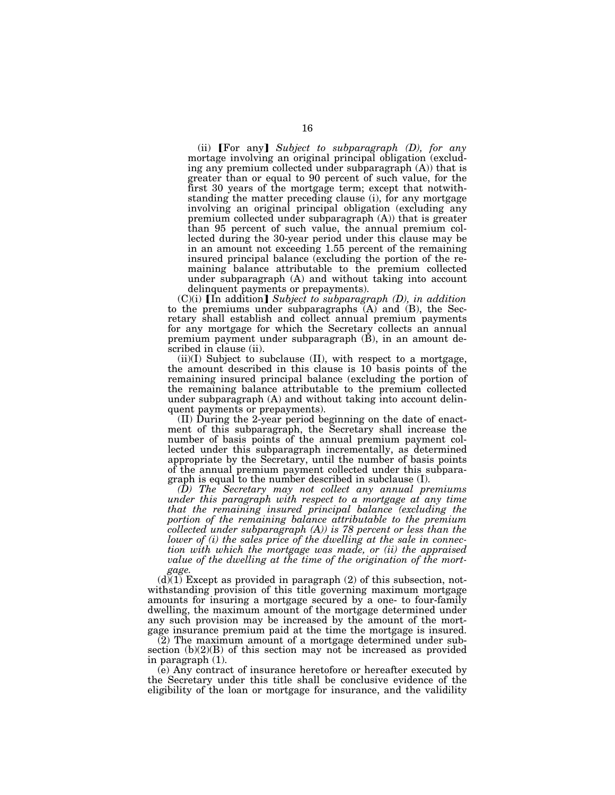(ii) **[For any]** Subject to subparagraph (D), for any mortage involving an original principal obligation (excluding any premium collected under subparagraph (A)) that is greater than or equal to 90 percent of such value, for the first 30 years of the mortgage term; except that notwithstanding the matter preceding clause (i), for any mortgage involving an original principal obligation (excluding any premium collected under subparagraph (A)) that is greater than 95 percent of such value, the annual premium collected during the 30-year period under this clause may be in an amount not exceeding 1.55 percent of the remaining insured principal balance (excluding the portion of the remaining balance attributable to the premium collected under subparagraph (A) and without taking into account delinquent payments or prepayments).

 $(C)(i)$  [In addition] *Subject to subparagraph (D), in addition* to the premiums under subparagraphs (A) and (B), the Secretary shall establish and collect annual premium payments for any mortgage for which the Secretary collects an annual premium payment under subparagraph (B), in an amount described in clause (ii).

(ii)(I) Subject to subclause (II), with respect to a mortgage, the amount described in this clause is 10 basis points of the remaining insured principal balance (excluding the portion of the remaining balance attributable to the premium collected under subparagraph (A) and without taking into account delinquent payments or prepayments).

(II) During the 2-year period beginning on the date of enactment of this subparagraph, the Secretary shall increase the number of basis points of the annual premium payment collected under this subparagraph incrementally, as determined appropriate by the Secretary, until the number of basis points of the annual premium payment collected under this subparagraph is equal to the number described in subclause (I).

*(D) The Secretary may not collect any annual premiums under this paragraph with respect to a mortgage at any time that the remaining insured principal balance (excluding the portion of the remaining balance attributable to the premium collected under subparagraph (A)) is 78 percent or less than the lower of (i) the sales price of the dwelling at the sale in connection with which the mortgage was made, or (ii) the appraised value of the dwelling at the time of the origination of the mortgage.* 

 $(d)(1)$  Except as provided in paragraph (2) of this subsection, notwithstanding provision of this title governing maximum mortgage amounts for insuring a mortgage secured by a one- to four-family dwelling, the maximum amount of the mortgage determined under any such provision may be increased by the amount of the mortgage insurance premium paid at the time the mortgage is insured.

(2) The maximum amount of a mortgage determined under subsection (b)(2)(B) of this section may not be increased as provided in paragraph (1).

(e) Any contract of insurance heretofore or hereafter executed by the Secretary under this title shall be conclusive evidence of the eligibility of the loan or mortgage for insurance, and the validility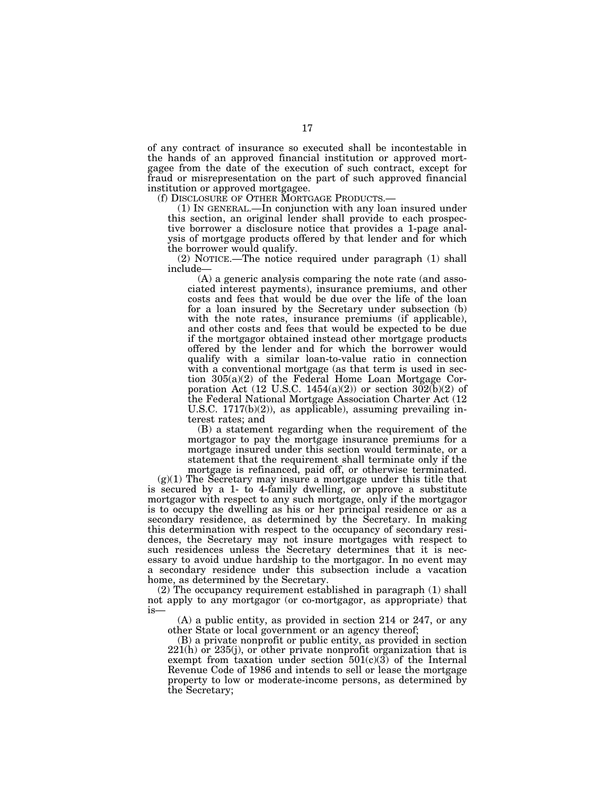of any contract of insurance so executed shall be incontestable in the hands of an approved financial institution or approved mortgagee from the date of the execution of such contract, except for fraud or misrepresentation on the part of such approved financial institution or approved mortgagee.<br>
(f) DISCLOSURE OF OTHER MORTGAGE PRODUCTS.—

 $(1)$  In GENERAL.—In conjunction with any loan insured under this section, an original lender shall provide to each prospective borrower a disclosure notice that provides a 1-page analysis of mortgage products offered by that lender and for which the borrower would qualify.

(2) NOTICE.—The notice required under paragraph (1) shall include—

(A) a generic analysis comparing the note rate (and associated interest payments), insurance premiums, and other costs and fees that would be due over the life of the loan for a loan insured by the Secretary under subsection (b) with the note rates, insurance premiums (if applicable), and other costs and fees that would be expected to be due if the mortgagor obtained instead other mortgage products offered by the lender and for which the borrower would qualify with a similar loan-to-value ratio in connection with a conventional mortgage (as that term is used in section 305(a)(2) of the Federal Home Loan Mortgage Corporation Act (12 U.S.C. 1454(a)(2)) or section  $302(b)(2)$  of the Federal National Mortgage Association Charter Act (12 U.S.C. 1717(b)(2)), as applicable), assuming prevailing interest rates; and

(B) a statement regarding when the requirement of the mortgagor to pay the mortgage insurance premiums for a mortgage insured under this section would terminate, or a statement that the requirement shall terminate only if the mortgage is refinanced, paid off, or otherwise terminated.

 $(g)(1)$  The Secretary may insure a mortgage under this title that is secured by a 1- to 4-family dwelling, or approve a substitute mortgagor with respect to any such mortgage, only if the mortgagor is to occupy the dwelling as his or her principal residence or as a secondary residence, as determined by the Secretary. In making this determination with respect to the occupancy of secondary residences, the Secretary may not insure mortgages with respect to such residences unless the Secretary determines that it is necessary to avoid undue hardship to the mortgagor. In no event may a secondary residence under this subsection include a vacation home, as determined by the Secretary.

(2) The occupancy requirement established in paragraph (1) shall not apply to any mortgagor (or co-mortgagor, as appropriate) that is—

(A) a public entity, as provided in section 214 or 247, or any other State or local government or an agency thereof;

(B) a private nonprofit or public entity, as provided in section  $221(h)$  or  $235(j)$ , or other private nonprofit organization that is exempt from taxation under section  $501(c)(3)$  of the Internal Revenue Code of 1986 and intends to sell or lease the mortgage property to low or moderate-income persons, as determined by the Secretary;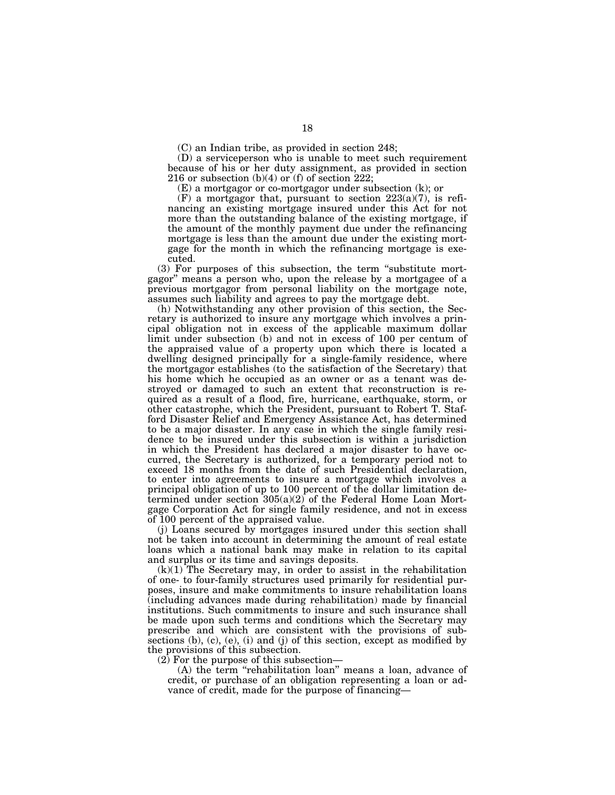(C) an Indian tribe, as provided in section 248;

(D) a serviceperson who is unable to meet such requirement because of his or her duty assignment, as provided in section 216 or subsection  $(b)(4)$  or  $(f)$  of section 222;

(E) a mortgagor or co-mortgagor under subsection (k); or

 $(F)$  a mortgagor that, pursuant to section  $223(a)(7)$ , is refinancing an existing mortgage insured under this Act for not more than the outstanding balance of the existing mortgage, if the amount of the monthly payment due under the refinancing mortgage is less than the amount due under the existing mortgage for the month in which the refinancing mortgage is executed.

(3) For purposes of this subsection, the term ''substitute mortgagor'' means a person who, upon the release by a mortgagee of a previous mortgagor from personal liability on the mortgage note, assumes such liability and agrees to pay the mortgage debt.

(h) Notwithstanding any other provision of this section, the Secretary is authorized to insure any mortgage which involves a principal obligation not in excess of the applicable maximum dollar limit under subsection (b) and not in excess of 100 per centum of the appraised value of a property upon which there is located a dwelling designed principally for a single-family residence, where the mortgagor establishes (to the satisfaction of the Secretary) that his home which he occupied as an owner or as a tenant was destroyed or damaged to such an extent that reconstruction is required as a result of a flood, fire, hurricane, earthquake, storm, or other catastrophe, which the President, pursuant to Robert T. Stafford Disaster Relief and Emergency Assistance Act, has determined to be a major disaster. In any case in which the single family residence to be insured under this subsection is within a jurisdiction in which the President has declared a major disaster to have occurred, the Secretary is authorized, for a temporary period not to exceed 18 months from the date of such Presidential declaration, to enter into agreements to insure a mortgage which involves a principal obligation of up to 100 percent of the dollar limitation determined under section 305(a)(2) of the Federal Home Loan Mortgage Corporation Act for single family residence, and not in excess of 100 percent of the appraised value.

(j) Loans secured by mortgages insured under this section shall not be taken into account in determining the amount of real estate loans which a national bank may make in relation to its capital and surplus or its time and savings deposits.

 $(k)(1)$  The Secretary may, in order to assist in the rehabilitation of one- to four-family structures used primarily for residential purposes, insure and make commitments to insure rehabilitation loans (including advances made during rehabilitation) made by financial institutions. Such commitments to insure and such insurance shall be made upon such terms and conditions which the Secretary may prescribe and which are consistent with the provisions of subsections (b), (c), (e), (i) and (j) of this section, except as modified by the provisions of this subsection.

 $(2)$  For the purpose of this subsection—

(A) the term ''rehabilitation loan'' means a loan, advance of credit, or purchase of an obligation representing a loan or advance of credit, made for the purpose of financing—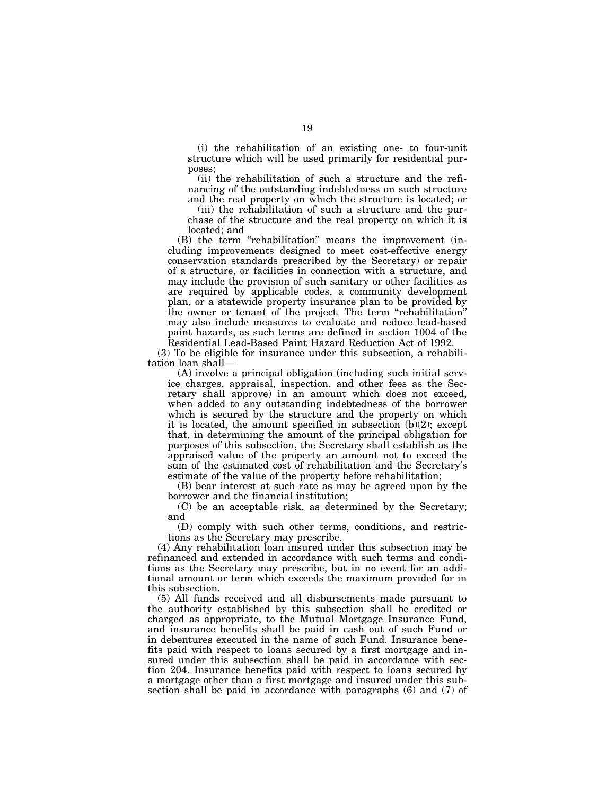(i) the rehabilitation of an existing one- to four-unit structure which will be used primarily for residential purposes;

(ii) the rehabilitation of such a structure and the refinancing of the outstanding indebtedness on such structure and the real property on which the structure is located; or

(iii) the rehabilitation of such a structure and the purchase of the structure and the real property on which it is located; and

(B) the term "rehabilitation" means the improvement (including improvements designed to meet cost-effective energy conservation standards prescribed by the Secretary) or repair of a structure, or facilities in connection with a structure, and may include the provision of such sanitary or other facilities as are required by applicable codes, a community development plan, or a statewide property insurance plan to be provided by the owner or tenant of the project. The term ''rehabilitation'' may also include measures to evaluate and reduce lead-based paint hazards, as such terms are defined in section 1004 of the Residential Lead-Based Paint Hazard Reduction Act of 1992.

(3) To be eligible for insurance under this subsection, a rehabilitation loan shall—

(A) involve a principal obligation (including such initial service charges, appraisal, inspection, and other fees as the Secretary shall approve) in an amount which does not exceed, when added to any outstanding indebtedness of the borrower which is secured by the structure and the property on which it is located, the amount specified in subsection (b)(2); except that, in determining the amount of the principal obligation for purposes of this subsection, the Secretary shall establish as the appraised value of the property an amount not to exceed the sum of the estimated cost of rehabilitation and the Secretary's estimate of the value of the property before rehabilitation;

(B) bear interest at such rate as may be agreed upon by the borrower and the financial institution;

(C) be an acceptable risk, as determined by the Secretary; and

(D) comply with such other terms, conditions, and restrictions as the Secretary may prescribe.

(4) Any rehabilitation loan insured under this subsection may be refinanced and extended in accordance with such terms and conditions as the Secretary may prescribe, but in no event for an additional amount or term which exceeds the maximum provided for in this subsection.

(5) All funds received and all disbursements made pursuant to the authority established by this subsection shall be credited or charged as appropriate, to the Mutual Mortgage Insurance Fund, and insurance benefits shall be paid in cash out of such Fund or in debentures executed in the name of such Fund. Insurance benefits paid with respect to loans secured by a first mortgage and insured under this subsection shall be paid in accordance with section 204. Insurance benefits paid with respect to loans secured by a mortgage other than a first mortgage and insured under this subsection shall be paid in accordance with paragraphs (6) and (7) of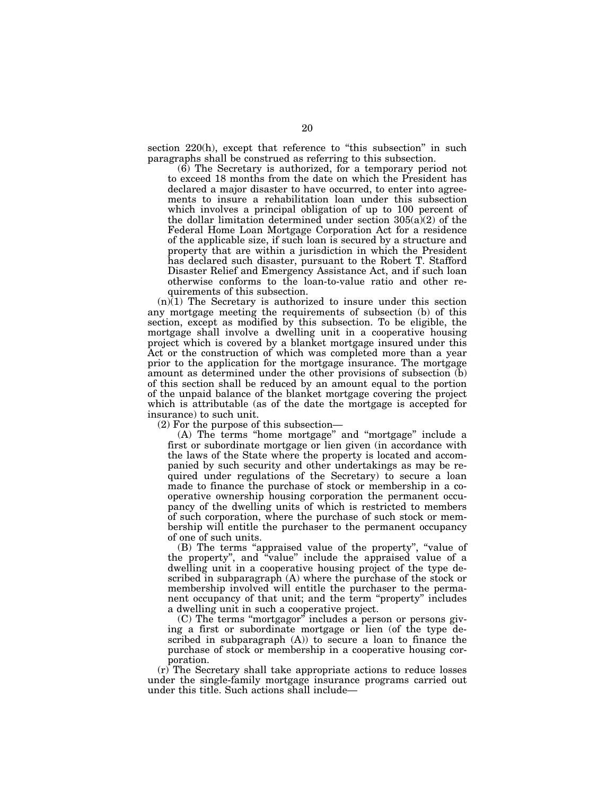section 220(h), except that reference to "this subsection" in such paragraphs shall be construed as referring to this subsection.

(6) The Secretary is authorized, for a temporary period not to exceed 18 months from the date on which the President has declared a major disaster to have occurred, to enter into agreements to insure a rehabilitation loan under this subsection which involves a principal obligation of up to 100 percent of the dollar limitation determined under section  $305(a)(2)$  of the Federal Home Loan Mortgage Corporation Act for a residence of the applicable size, if such loan is secured by a structure and property that are within a jurisdiction in which the President has declared such disaster, pursuant to the Robert T. Stafford Disaster Relief and Emergency Assistance Act, and if such loan otherwise conforms to the loan-to-value ratio and other requirements of this subsection.

 $(n)(1)$  The Secretary is authorized to insure under this section any mortgage meeting the requirements of subsection (b) of this section, except as modified by this subsection. To be eligible, the mortgage shall involve a dwelling unit in a cooperative housing project which is covered by a blanket mortgage insured under this Act or the construction of which was completed more than a year prior to the application for the mortgage insurance. The mortgage amount as determined under the other provisions of subsection (b) of this section shall be reduced by an amount equal to the portion of the unpaid balance of the blanket mortgage covering the project which is attributable (as of the date the mortgage is accepted for insurance) to such unit.

(2) For the purpose of this subsection—

(A) The terms ''home mortgage'' and ''mortgage'' include a first or subordinate mortgage or lien given (in accordance with the laws of the State where the property is located and accompanied by such security and other undertakings as may be required under regulations of the Secretary) to secure a loan made to finance the purchase of stock or membership in a cooperative ownership housing corporation the permanent occupancy of the dwelling units of which is restricted to members of such corporation, where the purchase of such stock or membership will entitle the purchaser to the permanent occupancy of one of such units.

(B) The terms ''appraised value of the property'', ''value of the property'', and ''value'' include the appraised value of a dwelling unit in a cooperative housing project of the type described in subparagraph (A) where the purchase of the stock or membership involved will entitle the purchaser to the permanent occupancy of that unit; and the term ''property'' includes a dwelling unit in such a cooperative project.

(C) The terms ''mortgagor'' includes a person or persons giving a first or subordinate mortgage or lien (of the type described in subparagraph (A)) to secure a loan to finance the purchase of stock or membership in a cooperative housing corporation.

(r) The Secretary shall take appropriate actions to reduce losses under the single-family mortgage insurance programs carried out under this title. Such actions shall include—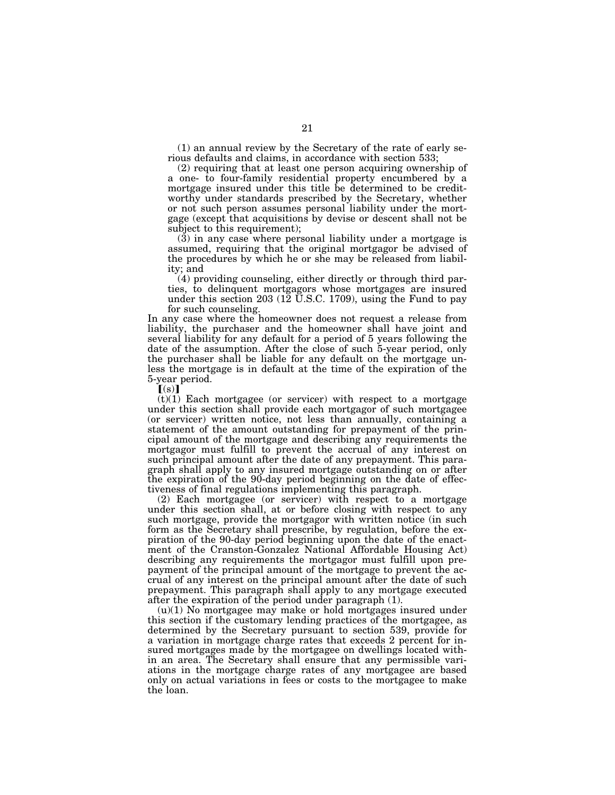(1) an annual review by the Secretary of the rate of early serious defaults and claims, in accordance with section 533;

(2) requiring that at least one person acquiring ownership of a one- to four-family residential property encumbered by a mortgage insured under this title be determined to be creditworthy under standards prescribed by the Secretary, whether or not such person assumes personal liability under the mortgage (except that acquisitions by devise or descent shall not be subject to this requirement);

(3) in any case where personal liability under a mortgage is assumed, requiring that the original mortgagor be advised of the procedures by which he or she may be released from liability; and

(4) providing counseling, either directly or through third parties, to delinquent mortgagors whose mortgages are insured under this section 203 ( $12 \text{ U.S.C. } 1709$ ), using the Fund to pay for such counseling.

In any case where the homeowner does not request a release from liability, the purchaser and the homeowner shall have joint and several liability for any default for a period of 5 years following the date of the assumption. After the close of such 5-year period, only the purchaser shall be liable for any default on the mortgage unless the mortgage is in default at the time of the expiration of the 5-year period.

 $\lceil (s) \rceil$ 

 $(t)(1)$  Each mortgagee (or servicer) with respect to a mortgage under this section shall provide each mortgagor of such mortgagee (or servicer) written notice, not less than annually, containing a statement of the amount outstanding for prepayment of the principal amount of the mortgage and describing any requirements the mortgagor must fulfill to prevent the accrual of any interest on such principal amount after the date of any prepayment. This paragraph shall apply to any insured mortgage outstanding on or after the expiration of the 90-day period beginning on the date of effectiveness of final regulations implementing this paragraph.

(2) Each mortgagee (or servicer) with respect to a mortgage under this section shall, at or before closing with respect to any such mortgage, provide the mortgagor with written notice (in such form as the Secretary shall prescribe, by regulation, before the expiration of the 90-day period beginning upon the date of the enactment of the Cranston-Gonzalez National Affordable Housing Act) describing any requirements the mortgagor must fulfill upon prepayment of the principal amount of the mortgage to prevent the accrual of any interest on the principal amount after the date of such prepayment. This paragraph shall apply to any mortgage executed after the expiration of the period under paragraph (1).

(u)(1) No mortgagee may make or hold mortgages insured under this section if the customary lending practices of the mortgagee, as determined by the Secretary pursuant to section 539, provide for a variation in mortgage charge rates that exceeds 2 percent for insured mortgages made by the mortgagee on dwellings located within an area. The Secretary shall ensure that any permissible variations in the mortgage charge rates of any mortgagee are based only on actual variations in fees or costs to the mortgagee to make the loan.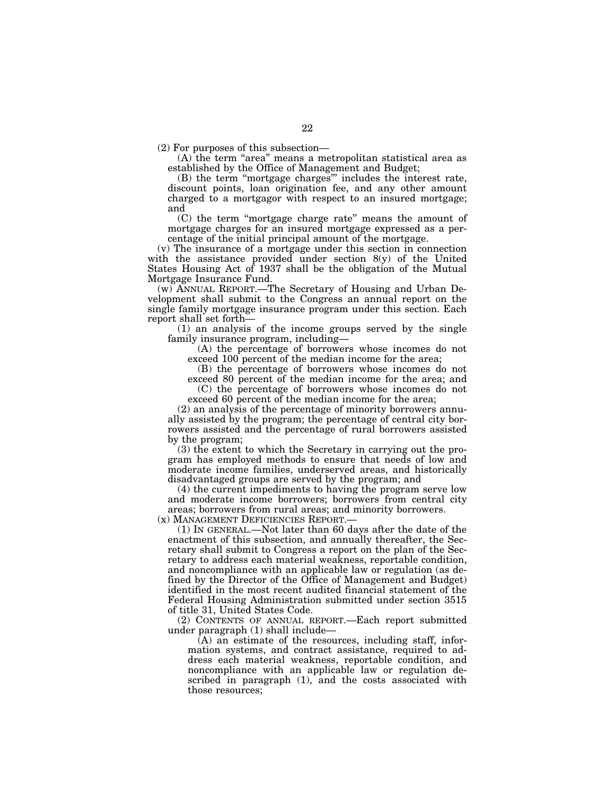(2) For purposes of this subsection—

(A) the term "area" means a metropolitan statistical area as established by the Office of Management and Budget;

(B) the term ''mortgage charges''' includes the interest rate, discount points, loan origination fee, and any other amount charged to a mortgagor with respect to an insured mortgage; and

(C) the term ''mortgage charge rate'' means the amount of mortgage charges for an insured mortgage expressed as a percentage of the initial principal amount of the mortgage.

(v) The insurance of a mortgage under this section in connection with the assistance provided under section 8(y) of the United States Housing Act of 1937 shall be the obligation of the Mutual Mortgage Insurance Fund.

(w) ANNUAL REPORT.—The Secretary of Housing and Urban Development shall submit to the Congress an annual report on the single family mortgage insurance program under this section. Each report shall set forth—

(1) an analysis of the income groups served by the single family insurance program, including—

(A) the percentage of borrowers whose incomes do not exceed 100 percent of the median income for the area;

(B) the percentage of borrowers whose incomes do not

exceed 80 percent of the median income for the area; and (C) the percentage of borrowers whose incomes do not

exceed 60 percent of the median income for the area;

(2) an analysis of the percentage of minority borrowers annually assisted by the program; the percentage of central city borrowers assisted and the percentage of rural borrowers assisted by the program;

(3) the extent to which the Secretary in carrying out the program has employed methods to ensure that needs of low and moderate income families, underserved areas, and historically disadvantaged groups are served by the program; and

(4) the current impediments to having the program serve low and moderate income borrowers; borrowers from central city areas; borrowers from rural areas; and minority borrowers.

 $(1)$  In GENERAL.—Not later than 60 days after the date of the enactment of this subsection, and annually thereafter, the Secretary shall submit to Congress a report on the plan of the Secretary to address each material weakness, reportable condition, and noncompliance with an applicable law or regulation (as defined by the Director of the Office of Management and Budget) identified in the most recent audited financial statement of the Federal Housing Administration submitted under section 3515 of title 31, United States Code.

(2) CONTENTS OF ANNUAL REPORT.—Each report submitted under paragraph (1) shall include—

(A) an estimate of the resources, including staff, information systems, and contract assistance, required to address each material weakness, reportable condition, and noncompliance with an applicable law or regulation described in paragraph (1), and the costs associated with those resources;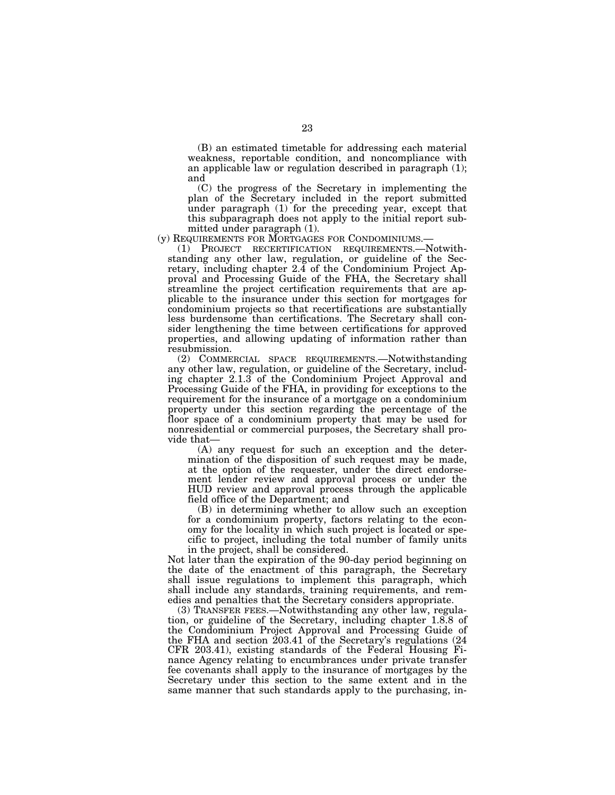(B) an estimated timetable for addressing each material weakness, reportable condition, and noncompliance with an applicable law or regulation described in paragraph (1); and

(C) the progress of the Secretary in implementing the plan of the Secretary included in the report submitted under paragraph (1) for the preceding year, except that this subparagraph does not apply to the initial report submitted under paragraph (1).<br>(y) REQUIREMENTS FOR MORTGAGES FOR CONDOMINIUMS.

(1) PROJECT RECERTIFICATION REQUIREMENTS.—Notwithstanding any other law, regulation, or guideline of the Secretary, including chapter 2.4 of the Condominium Project Approval and Processing Guide of the FHA, the Secretary shall streamline the project certification requirements that are applicable to the insurance under this section for mortgages for condominium projects so that recertifications are substantially less burdensome than certifications. The Secretary shall consider lengthening the time between certifications for approved properties, and allowing updating of information rather than resubmission.

(2) COMMERCIAL SPACE REQUIREMENTS.—Notwithstanding any other law, regulation, or guideline of the Secretary, including chapter 2.1.3 of the Condominium Project Approval and Processing Guide of the FHA, in providing for exceptions to the requirement for the insurance of a mortgage on a condominium property under this section regarding the percentage of the floor space of a condominium property that may be used for nonresidential or commercial purposes, the Secretary shall provide that—

(A) any request for such an exception and the determination of the disposition of such request may be made, at the option of the requester, under the direct endorsement lender review and approval process or under the HUD review and approval process through the applicable field office of the Department; and

(B) in determining whether to allow such an exception for a condominium property, factors relating to the economy for the locality in which such project is located or specific to project, including the total number of family units in the project, shall be considered.

Not later than the expiration of the 90-day period beginning on the date of the enactment of this paragraph, the Secretary shall issue regulations to implement this paragraph, which shall include any standards, training requirements, and remedies and penalties that the Secretary considers appropriate.

(3) TRANSFER FEES.—Notwithstanding any other law, regulation, or guideline of the Secretary, including chapter 1.8.8 of the Condominium Project Approval and Processing Guide of the FHA and section 203.41 of the Secretary's regulations (24 CFR 203.41), existing standards of the Federal Housing Finance Agency relating to encumbrances under private transfer fee covenants shall apply to the insurance of mortgages by the Secretary under this section to the same extent and in the same manner that such standards apply to the purchasing, in-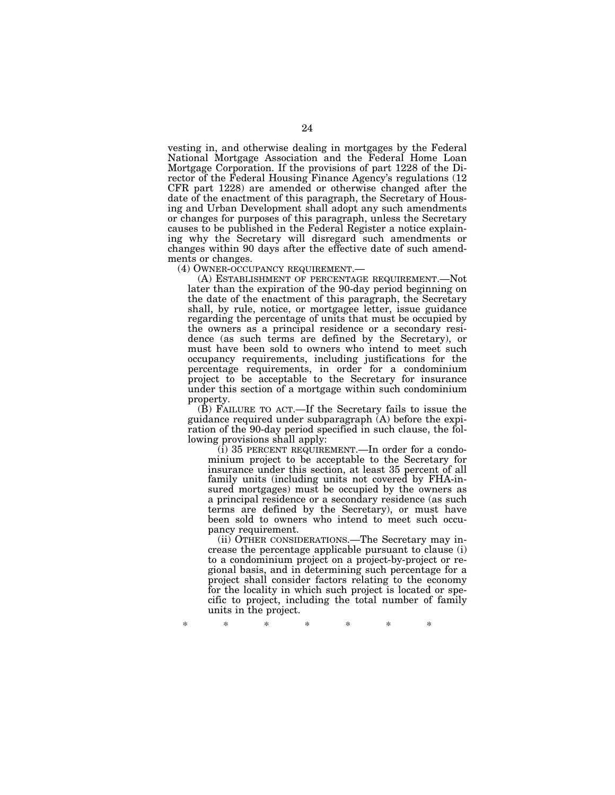vesting in, and otherwise dealing in mortgages by the Federal National Mortgage Association and the Federal Home Loan Mortgage Corporation. If the provisions of part 1228 of the Director of the Federal Housing Finance Agency's regulations (12 CFR part 1228) are amended or otherwise changed after the date of the enactment of this paragraph, the Secretary of Housing and Urban Development shall adopt any such amendments or changes for purposes of this paragraph, unless the Secretary causes to be published in the Federal Register a notice explaining why the Secretary will disregard such amendments or changes within 90 days after the effective date of such amendments or changes.

(4) OWNER-OCCUPANCY REQUIREMENT.—

(A) ESTABLISHMENT OF PERCENTAGE REQUIREMENT.—Not later than the expiration of the 90-day period beginning on the date of the enactment of this paragraph, the Secretary shall, by rule, notice, or mortgagee letter, issue guidance regarding the percentage of units that must be occupied by the owners as a principal residence or a secondary residence (as such terms are defined by the Secretary), or must have been sold to owners who intend to meet such occupancy requirements, including justifications for the percentage requirements, in order for a condominium project to be acceptable to the Secretary for insurance under this section of a mortgage within such condominium property.

(B) FAILURE TO ACT.—If the Secretary fails to issue the guidance required under subparagraph (A) before the expiration of the 90-day period specified in such clause, the following provisions shall apply:

(i) 35 PERCENT REQUIREMENT.—In order for a condominium project to be acceptable to the Secretary for insurance under this section, at least 35 percent of all family units (including units not covered by FHA-insured mortgages) must be occupied by the owners as a principal residence or a secondary residence (as such terms are defined by the Secretary), or must have been sold to owners who intend to meet such occupancy requirement.

(ii) OTHER CONSIDERATIONS.—The Secretary may increase the percentage applicable pursuant to clause (i) to a condominium project on a project-by-project or regional basis, and in determining such percentage for a project shall consider factors relating to the economy for the locality in which such project is located or specific to project, including the total number of family units in the project.

\* \* \* \* \* \* \*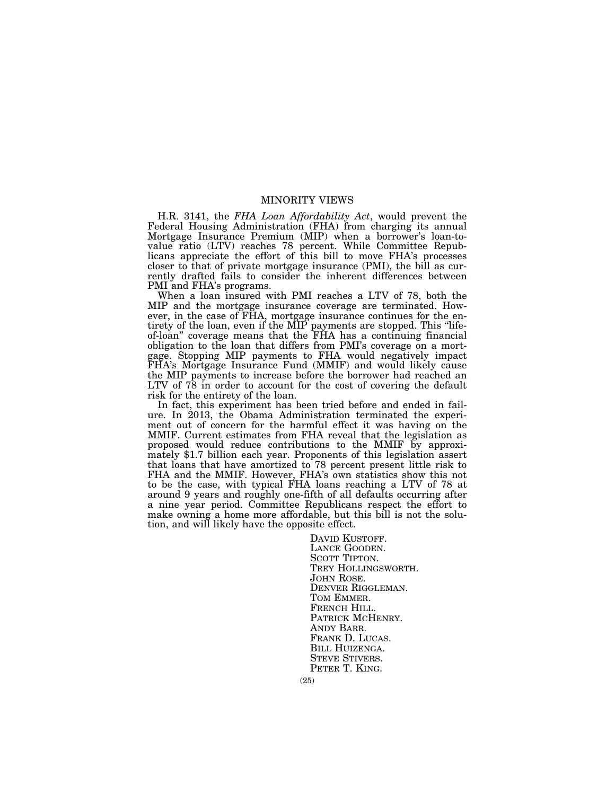# MINORITY VIEWS

H.R. 3141, the *FHA Loan Affordability Act*, would prevent the Federal Housing Administration (FHA) from charging its annual Mortgage Insurance Premium (MIP) when a borrower's loan-tovalue ratio (LTV) reaches 78 percent. While Committee Republicans appreciate the effort of this bill to move FHA's processes closer to that of private mortgage insurance (PMI), the bill as currently drafted fails to consider the inherent differences between PMI and FHA's programs.

When a loan insured with PMI reaches a LTV of 78, both the MIP and the mortgage insurance coverage are terminated. However, in the case of FHA, mortgage insurance continues for the entirety of the loan, even if the MIP payments are stopped. This "lifeof-loan'' coverage means that the FHA has a continuing financial obligation to the loan that differs from PMI's coverage on a mortgage. Stopping MIP payments to FHA would negatively impact FHA's Mortgage Insurance Fund (MMIF) and would likely cause the MIP payments to increase before the borrower had reached an LTV of 78 in order to account for the cost of covering the default risk for the entirety of the loan.

In fact, this experiment has been tried before and ended in failure. In 2013, the Obama Administration terminated the experiment out of concern for the harmful effect it was having on the MMIF. Current estimates from FHA reveal that the legislation as proposed would reduce contributions to the MMIF by approximately \$1.7 billion each year. Proponents of this legislation assert that loans that have amortized to 78 percent present little risk to FHA and the MMIF. However, FHA's own statistics show this not to be the case, with typical FHA loans reaching a LTV of 78 at around 9 years and roughly one-fifth of all defaults occurring after a nine year period. Committee Republicans respect the effort to make owning a home more affordable, but this bill is not the solution, and will likely have the opposite effect.

> DAVID KUSTOFF.<br>LANCE GOODEN.<br>SCOTT TIPTON.<br>TREY HOLLINGSWORTH.<br>JOHN ROSE.<br>DENVER RIGGLEMAN.<br>TOM EMMER.<br>FRENCH HILL.<br>PATRICK MCHENRY.<br>ANDY BARR.<br>FRANK D. LUCAS. BILL HUIZENGA. STEVE STIVERS. PETER T. KING.